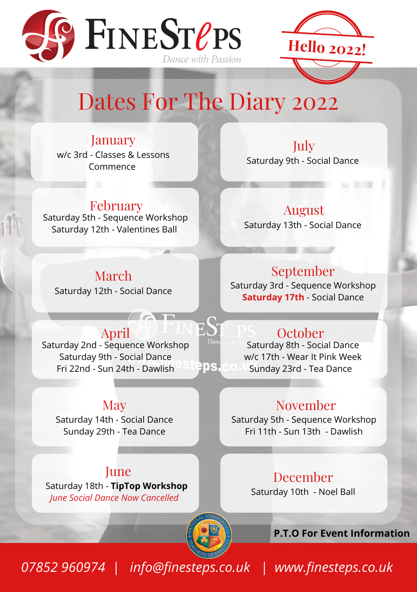



# Dates For The Diary 2022

90S

January w/c 3rd - Classes & Lessons Commence

February Saturday 5th - Sequence Workshop Saturday 12th - Valentines Ball

July Saturday 9th - Social Dance

August Saturday 13th - Social Dance

March Saturday 12th - Social Dance

#### September

Saturday 3rd - Sequence Workshop **Saturday 17th** - Social Dance

### **October**

Saturday 8th - Social Dance w/c 17th - Wear It Pink Week Sunday 23rd - Tea Dance

### November

Saturday 5th - Sequence Workshop Fri 11th - Sun 13th - Dawlish

### December

Saturday 10th - Noel Ball

**P.T.O For Event Information**

*07852 960974 | info@finesteps.co.uk | www.finesteps.co.uk*

April

 $\overline{\phantom{a}}$ 

Saturday 2nd - Sequence Workshop Saturday 9th - Social Dance Fri 22nd - Sun 24th - Dawlish

### **May**

Saturday 14th - Social Dance Sunday 29th - Tea Dance

June Saturday 18th - **TipTop Workshop** *June Social Dance Now Cancelled*